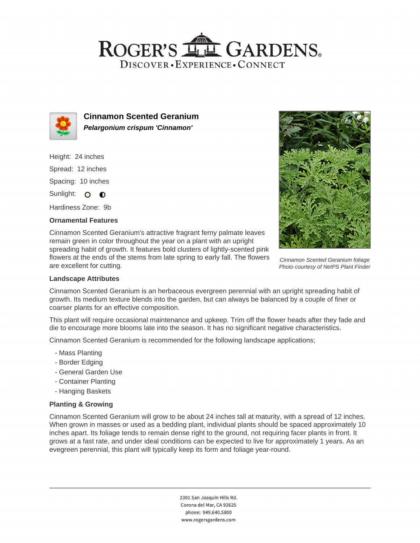## ROGER'S LLE GARDENS. DISCOVER · EXPERIENCE · CONNECT



**Cinnamon Scented Geranium Pelargonium crispum 'Cinnamon'**

Height: 24 inches Spread: 12 inches Spacing: 10 inches Sunlight: O **O** 

Hardiness Zone: 9b

### **Ornamental Features**

Cinnamon Scented Geranium's attractive fragrant ferny palmate leaves remain green in color throughout the year on a plant with an upright spreading habit of growth. It features bold clusters of lightly-scented pink flowers at the ends of the stems from late spring to early fall. The flowers are excellent for cutting.



Cinnamon Scented Geranium foliage Photo courtesy of NetPS Plant Finder

#### **Landscape Attributes**

Cinnamon Scented Geranium is an herbaceous evergreen perennial with an upright spreading habit of growth. Its medium texture blends into the garden, but can always be balanced by a couple of finer or coarser plants for an effective composition.

This plant will require occasional maintenance and upkeep. Trim off the flower heads after they fade and die to encourage more blooms late into the season. It has no significant negative characteristics.

Cinnamon Scented Geranium is recommended for the following landscape applications;

- Mass Planting
- Border Edging
- General Garden Use
- Container Planting
- Hanging Baskets

## **Planting & Growing**

Cinnamon Scented Geranium will grow to be about 24 inches tall at maturity, with a spread of 12 inches. When grown in masses or used as a bedding plant, individual plants should be spaced approximately 10 inches apart. Its foliage tends to remain dense right to the ground, not requiring facer plants in front. It grows at a fast rate, and under ideal conditions can be expected to live for approximately 1 years. As an evegreen perennial, this plant will typically keep its form and foliage year-round.

> 2301 San Joaquin Hills Rd. Corona del Mar, CA 92625 phone: 949.640.5800 www.rogersgardens.com